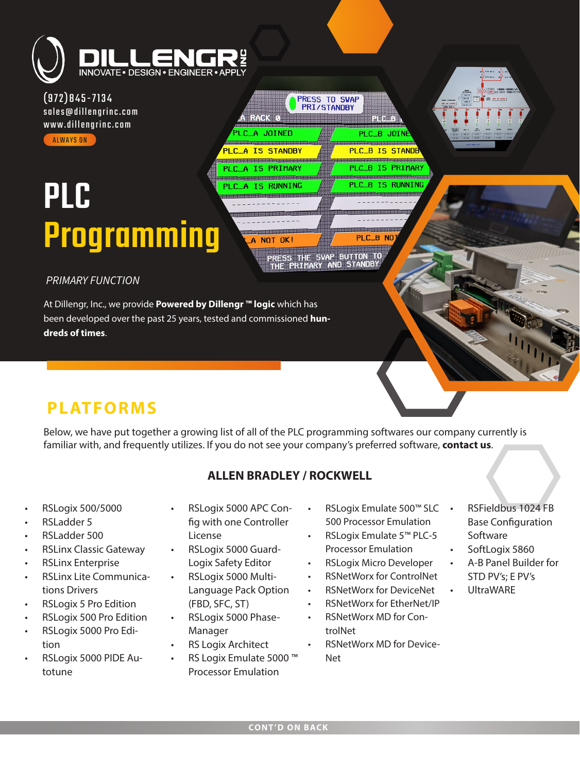

(972)845-7134 [sales@dillengrinc.com](mailto:sales@dillengrinc.com) [www.dillengrinc.com](https://www.dillengrinc.com/) **ALWAYS ON** 

# PLC [Programming](https://www.dillengrinc.com/products-and-services/plc-programming/)

PLC\_B NO PRESS THE SWAP BUTTON TO<br>THE PRIMARY AND STANDBY

**PRESS TO SWAP**<br>PRI/STANDBY

胃胃阻滞

PLC\_B JOIN .<br>Die gestigsbescher Berger **PLC\_B IS STANDE** 

<u>Hannan Hansdardan Hansdar</u>

PL C

PLC B IS PRIMARY

**B TS RUNNING** 

**ATRACK O** 

A JOINED

**TS STANDRY** 

\_\_\_\_\_\_\_\_\_\_\_\_\_\_\_\_\_\_\_\_\_\_\_\_\_\_\_\_\_\_\_\_\_ A IS RUNNING

A IS PRIMARY

### *PRIMARY FUNCTION*

At Dillengr, Inc., we provide **Powered by Dillengr ™ logic** which has been developed over the past 25 years, tested and commissioned **hundreds of times**.

## **PLATFORMS**

Below, we have put together a growing list of all of the PLC programming softwares our company currently is familiar with, and frequently utilizes. If you do not see your company's preferred software, **[contact us](https://www.dillengrinc.com/#contact-us)**.

## **ALLEN BRADLEY / ROCKWELL**

- RSLogix 500/5000
- RSLadder 5
- RSLadder 500
- RSLinx Classic Gateway
- RSLinx Enterprise
- RSLinx Lite Communications Drivers
- RSLogix 5 Pro Edition
- RSLogix 500 Pro Edition
- RSLogix 5000 Pro Edition
- RSLogix 5000 PIDE Autotune
- RSLogix 5000 APC Config with one Controller License
- RSLogix 5000 Guard-Logix Safety Editor
- RSLogix 5000 Multi-Language Pack Option (FBD, SFC, ST)
- RSLogix 5000 Phase-Manager
- **RS Logix Architect**
- RS Logix Emulate 5000 ™ Processor Emulation
- RSLogix Emulate 500™ SLC 500 Processor Emulation
- RSLogix Emulate 5™ PLC-5 Processor Emulation
- RSLogix Micro Developer
	- RSNetWorx for ControlNet
- RSNetWorx for DeviceNet
- RSNetWorx for EtherNet/IP
- RSNetWorx MD for ControlNet
- RSNetWorx MD for Device-Net
- RSFieldbus 1024 FB Base Configuration Software
- SoftLogix 5860
- A-B Panel Builder for STD PV's; E PV's
- UltraWARE